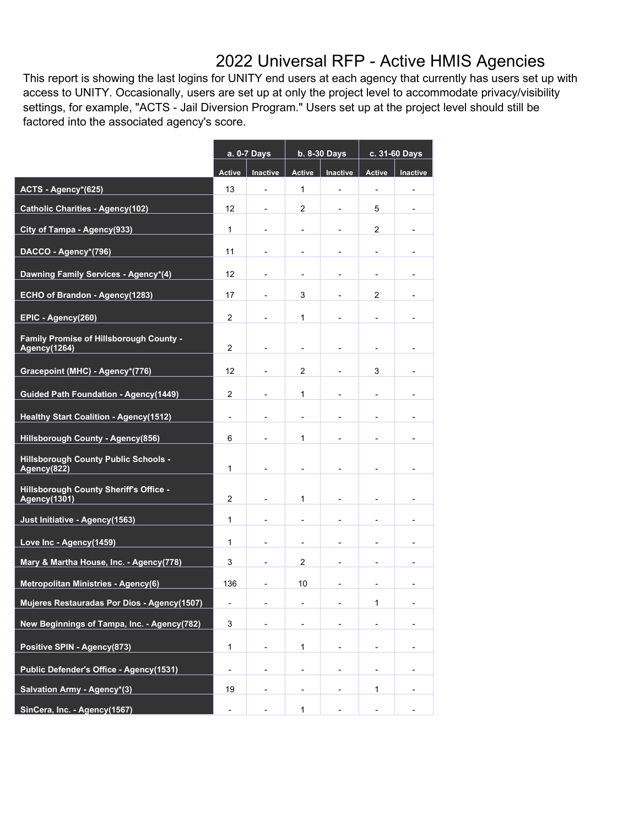## 2022 Universal RFP - Active HMIS Agencies

This report is showing the last logins for UNITY end users at each agency that currently has users set up with access to UNITY. Occasionally, users are set up at only the project level to accommodate privacy/visibility settings, for example, "ACTS - Jail Diversion Program." Users set up at the project level should still be factored into the associated agency's score.

|                                                                      | a. 0-7 Days              |                          | b. 8-30 Days             |                          | c. 31-60 Days            |                          |
|----------------------------------------------------------------------|--------------------------|--------------------------|--------------------------|--------------------------|--------------------------|--------------------------|
|                                                                      | <b>Active</b>            | Inactive                 | Active                   | Inactive                 | Active                   | Inactive                 |
| ACTS - Agency*(625)                                                  | 13                       | $\blacksquare$           | 1                        | $\overline{\phantom{0}}$ | $\overline{\phantom{a}}$ | $\overline{\phantom{a}}$ |
| <b>Catholic Charities - Agency(102)</b>                              | 12                       | $\overline{\phantom{0}}$ | 2                        | $\overline{\phantom{0}}$ | 5                        |                          |
| City of Tampa - Agency(933)                                          | $\mathbf{1}$             |                          |                          | $\overline{a}$           | $\overline{2}$           |                          |
| DACCO - Agency*(796)                                                 | 11                       | $\blacksquare$           | $\overline{\phantom{a}}$ | -                        | $\overline{\phantom{a}}$ |                          |
| Dawning Family Services - Agency*(4)                                 | 12                       | $\overline{a}$           | $\overline{\phantom{a}}$ | $\overline{\phantom{0}}$ | $\overline{\phantom{a}}$ |                          |
| ECHO of Brandon - Agency(1283)                                       | 17                       |                          | 3                        | -                        | 2                        |                          |
| EPIC - Agency(260)                                                   | 2                        | $\overline{a}$           | $\mathbf{1}$             |                          |                          |                          |
| Family Promise of Hillsborough County -<br>Agency(1264)              | $\overline{2}$           |                          |                          |                          |                          |                          |
| Gracepoint (MHC) - Agency*(776)                                      | 12                       | $\overline{\phantom{0}}$ | 2                        | $\overline{\phantom{0}}$ | 3                        |                          |
| <b>Guided Path Foundation - Agency(1449)</b>                         | 2                        |                          | 1                        |                          |                          |                          |
| <b>Healthy Start Coalition - Agency(1512)</b>                        | $\overline{\phantom{a}}$ |                          |                          |                          |                          |                          |
| <b>Hillsborough County - Agency(856)</b>                             | 6                        |                          | 1                        |                          |                          |                          |
| <b>Hillsborough County Public Schools -</b><br>Agency(822)           | $\mathbf{1}$             |                          |                          |                          |                          |                          |
| <b>Hillsborough County Sheriff's Office -</b><br><b>Agency(1301)</b> | 2                        |                          | $\mathbf{1}$             |                          |                          |                          |
| Just Initiative - Agency(1563)                                       | 1                        |                          | $\overline{\phantom{a}}$ | $\overline{a}$           |                          |                          |
| Love Inc - Agency(1459)                                              | $\mathbf{1}$             |                          |                          |                          |                          |                          |
| Mary & Martha House, Inc. - Agency(778)                              | 3                        | $\overline{a}$           | $\overline{2}$           | $\overline{a}$           |                          |                          |
| <b>Metropolitan Ministries - Agency(6)</b>                           | 136                      | $\overline{\phantom{0}}$ | 10                       | $\blacksquare$           |                          |                          |
| Mujeres Restauradas Por Dios - Agency(1507)                          | $\overline{\phantom{a}}$ | $\overline{a}$           | $\overline{\phantom{a}}$ |                          | $\mathbf{1}$             |                          |
| New Beginnings of Tampa, Inc. - Agency(782)                          | 3                        |                          |                          |                          |                          |                          |
| Positive SPIN - Agency(873)                                          | 1                        |                          | 1                        |                          |                          |                          |
| Public Defender's Office - Agency(1531)                              | $\overline{\phantom{m}}$ |                          | -                        |                          |                          |                          |
| Salvation Army - Agency*(3)                                          | 19                       |                          | $\overline{\phantom{a}}$ | ٠                        | 1                        |                          |
| SinCera, Inc. - Agency(1567)                                         |                          |                          | $\mathbf{1}$             |                          |                          |                          |